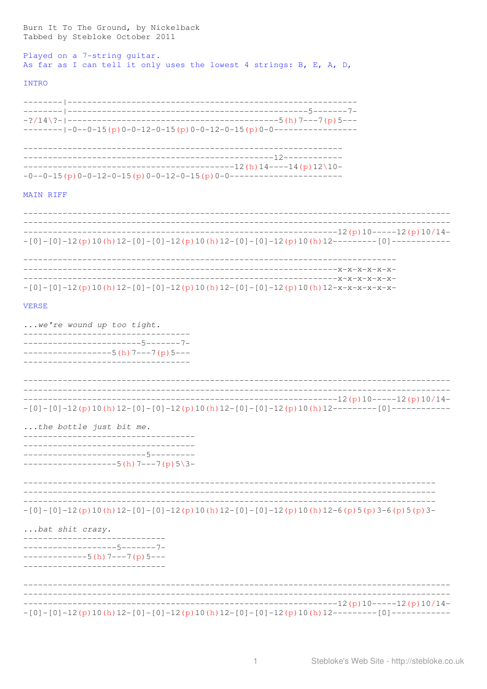| -----------------------------                                                                                                                     |  |
|---------------------------------------------------------------------------------------------------------------------------------------------------|--|
| ----------------------------                                                                                                                      |  |
| -------------------5------7-<br>$----------5(h) 7---7(p) 5---$                                                                                    |  |
| bat shit crazy.                                                                                                                                   |  |
| $-[0]-[0]-12(p)10(h)12-[0]-[0]-12(p)10(h)12-[0]-[0]-12(p)10(h)12-6(p)5(p)3-6(p)5(p)3-6(p)5$                                                       |  |
| -------------------------5--------<br>-------------------5 (h) 7---7 (p) 5\3-                                                                     |  |
| the bottle just bit me.<br>_________________________________                                                                                      |  |
| ________________<br>$-[0]-[0]-12(p)10(h)12-[0]-[0]-12(p)10(h)12-[0]-[0]-12(p)10(h)12-----(-10]-2(n)10(h)12[-2(n-1)-10]-2(n-1)12(h)12[-2(n-1)-10]$ |  |
| $---------------5(h) 7---7(p) 5---$<br>______________________________________                                                                     |  |
| we're wound up too tight.<br>______________________________________<br>-----------------------5------7-                                           |  |
| <b>VERSE</b>                                                                                                                                      |  |
| $-[0]-[0]-12(p)10(h)12-[0]-[0]-12(p)10(h)12-[0]-[0]-12(p)10(h)12-x-x-x-x-x-12(n)$                                                                 |  |
| $-[0]-[0]-12(p)10(h)12-[0]-[0]-12(p)10(h)12-[0]-[0]-12(p)10(h)12-----[0]-\n$                                                                      |  |
|                                                                                                                                                   |  |
| MAIN RIFF                                                                                                                                         |  |
|                                                                                                                                                   |  |
|                                                                                                                                                   |  |
|                                                                                                                                                   |  |
| <b>INTRO</b>                                                                                                                                      |  |
| Played on a 7-string guitar.<br>As far as I can tell it only uses the lowest 4 strings: B, E, A, D,                                               |  |
| Burn It To The Ground, by Nickelback<br>Tabbed by Stebloke October 2011                                                                           |  |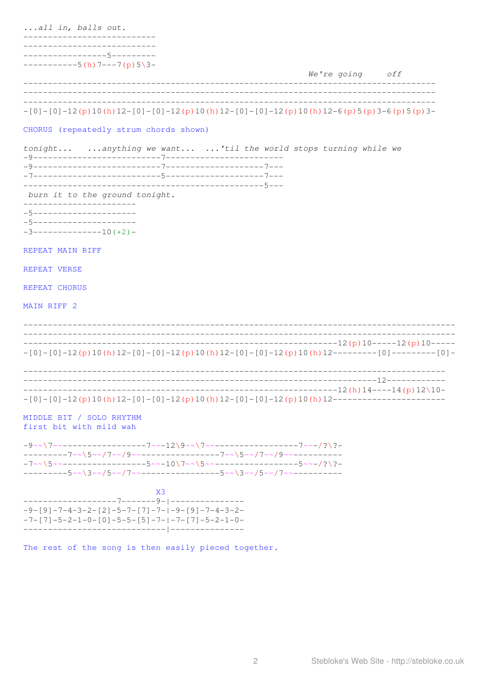...all in, balls out. ---------------------------------------------5--------- $--------5(h) 7---7(p) 5\3-$ We're going off CHORUS (repeatedly strum chords shown) tonight... ... anything we want... ...'til the world stops turning while we burn it to the ground tonight. \_\_\_\_\_\_\_\_\_\_\_\_\_\_\_\_\_\_\_\_\_\_\_\_\_ -5-----------------------5---------------------- $-3$ ---------------10(+2)-REPEAT MAIN RIFF REPEAT VERSE REPEAT CHORUS MAIN RIFF 2  $-[0]-[0]-[2(p)10(h)12-[0]-[0]-[2(p)10(h)12-[0]-[0]-[2(p)10(h)12------1-(0]---[0]----10]$  $-[0]-[0]-[2(p)10(h)12-[0]-[0]-[2(p)10(h)12-[0]-[0]-12(p)10(h)12-----$ MIDDLE BIT / SOLO RHYTHM first bit with mild wah  $-9$  ~ \ 7 ~ ~ - - - - - - - - - - - - - - - - 7 ~ ~ - 12 \ 9 ~ ~ \ 7 ~ ~ - - - - - - - - - - - - - - 7 ~ ~ - / ? \ ? ----------7~~\5~~/7~~/9~~----------------7~~\5~~/7~~/9~~-------------------5~~\3~~/5~~/7~~---------------5~~\3~~/5~~/7~~--------- $X<sub>3</sub>$  $-9 - [9] - 7 - 4 - 3 - 2 - [2] - 5 - 7 - [7] - 7 - (-9 - [9] - 7 - 4 - 3 - 2 -$ 

The rest of the song is then easily pieced together.

 $-7 - [7] - 5 - 2 - 1 - 0 - [0] - 5 - 5 - [5] - 7 - [-7 - [7] - 5 - 2 - 1 - 0 -$